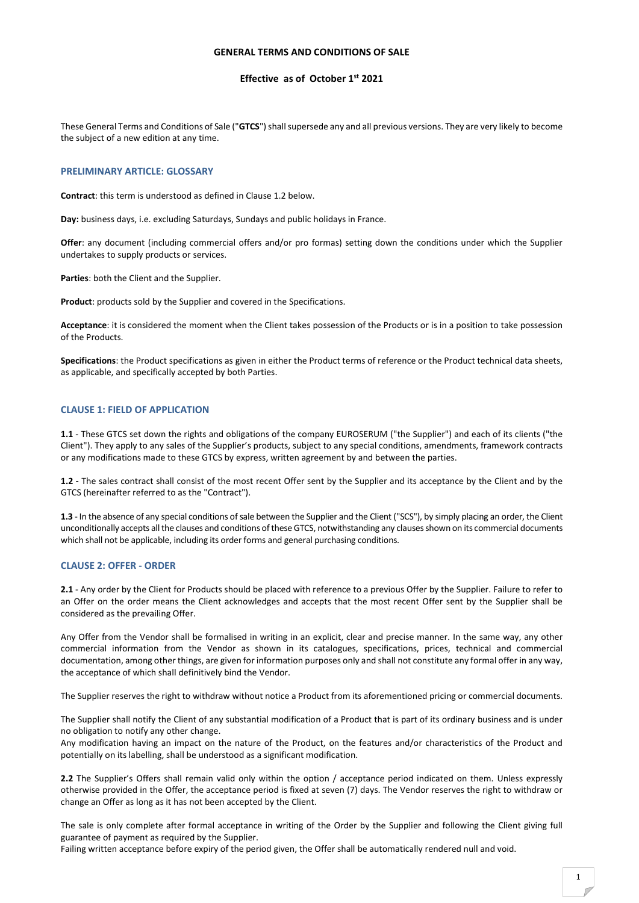## GENERAL TERMS AND CONDITIONS OF SALE

## Effective as of October 1st 2021

These General Terms and Conditions of Sale ("GTCS") shall supersede any and all previous versions. They are very likely to become the subject of a new edition at any time.

## PRELIMINARY ARTICLE: GLOSSARY

Contract: this term is understood as defined in Clause 1.2 below.

Day: business days, i.e. excluding Saturdays, Sundays and public holidays in France.

Offer: any document (including commercial offers and/or pro formas) setting down the conditions under which the Supplier undertakes to supply products or services.

Parties: both the Client and the Supplier.

Product: products sold by the Supplier and covered in the Specifications.

Acceptance: it is considered the moment when the Client takes possession of the Products or is in a position to take possession of the Products.

Specifications: the Product specifications as given in either the Product terms of reference or the Product technical data sheets, as applicable, and specifically accepted by both Parties.

### CLAUSE 1: FIELD OF APPLICATION

1.1 - These GTCS set down the rights and obligations of the company EUROSERUM ("the Supplier") and each of its clients ("the Client"). They apply to any sales of the Supplier's products, subject to any special conditions, amendments, framework contracts or any modifications made to these GTCS by express, written agreement by and between the parties.

1.2 - The sales contract shall consist of the most recent Offer sent by the Supplier and its acceptance by the Client and by the GTCS (hereinafter referred to as the "Contract").

1.3 - In the absence of any special conditions of sale between the Supplier and the Client ("SCS"), by simply placing an order, the Client unconditionally accepts all the clauses and conditions of these GTCS, notwithstanding any clauses shown on its commercial documents which shall not be applicable, including its order forms and general purchasing conditions.

#### CLAUSE 2: OFFER - ORDER

2.1 - Any order by the Client for Products should be placed with reference to a previous Offer by the Supplier. Failure to refer to an Offer on the order means the Client acknowledges and accepts that the most recent Offer sent by the Supplier shall be considered as the prevailing Offer.

Any Offer from the Vendor shall be formalised in writing in an explicit, clear and precise manner. In the same way, any other commercial information from the Vendor as shown in its catalogues, specifications, prices, technical and commercial documentation, among other things, are given for information purposes only and shall not constitute any formal offer in any way, the acceptance of which shall definitively bind the Vendor.

The Supplier reserves the right to withdraw without notice a Product from its aforementioned pricing or commercial documents.

The Supplier shall notify the Client of any substantial modification of a Product that is part of its ordinary business and is under no obligation to notify any other change.

Any modification having an impact on the nature of the Product, on the features and/or characteristics of the Product and potentially on its labelling, shall be understood as a significant modification.

2.2 The Supplier's Offers shall remain valid only within the option / acceptance period indicated on them. Unless expressly otherwise provided in the Offer, the acceptance period is fixed at seven (7) days. The Vendor reserves the right to withdraw or change an Offer as long as it has not been accepted by the Client.

The sale is only complete after formal acceptance in writing of the Order by the Supplier and following the Client giving full guarantee of payment as required by the Supplier.

Failing written acceptance before expiry of the period given, the Offer shall be automatically rendered null and void.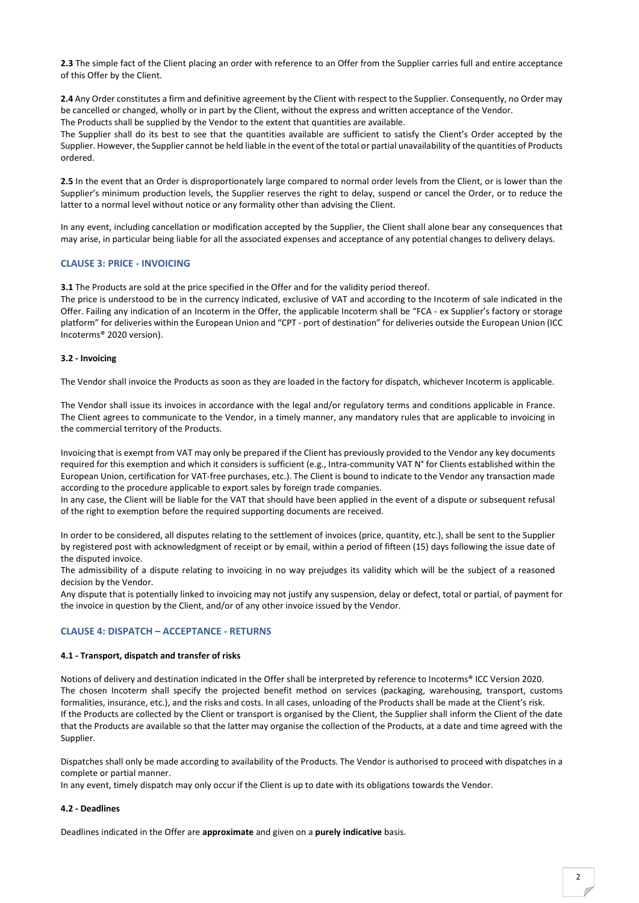2.3 The simple fact of the Client placing an order with reference to an Offer from the Supplier carries full and entire acceptance of this Offer by the Client.

2.4 Any Order constitutes a firm and definitive agreement by the Client with respect to the Supplier. Consequently, no Order may be cancelled or changed, wholly or in part by the Client, without the express and written acceptance of the Vendor. The Products shall be supplied by the Vendor to the extent that quantities are available.

The Supplier shall do its best to see that the quantities available are sufficient to satisfy the Client's Order accepted by the Supplier. However, the Supplier cannot be held liable in the event of the total or partial unavailability of the quantities of Products ordered.

2.5 In the event that an Order is disproportionately large compared to normal order levels from the Client, or is lower than the Supplier's minimum production levels, the Supplier reserves the right to delay, suspend or cancel the Order, or to reduce the latter to a normal level without notice or any formality other than advising the Client.

In any event, including cancellation or modification accepted by the Supplier, the Client shall alone bear any consequences that may arise, in particular being liable for all the associated expenses and acceptance of any potential changes to delivery delays.

# CLAUSE 3: PRICE - INVOICING

3.1 The Products are sold at the price specified in the Offer and for the validity period thereof.

The price is understood to be in the currency indicated, exclusive of VAT and according to the Incoterm of sale indicated in the Offer. Failing any indication of an Incoterm in the Offer, the applicable Incoterm shall be "FCA - ex Supplier's factory or storage platform" for deliveries within the European Union and "CPT - port of destination" for deliveries outside the European Union (ICC Incoterms® 2020 version).

## 3.2 - Invoicing

The Vendor shall invoice the Products as soon as they are loaded in the factory for dispatch, whichever Incoterm is applicable.

The Vendor shall issue its invoices in accordance with the legal and/or regulatory terms and conditions applicable in France. The Client agrees to communicate to the Vendor, in a timely manner, any mandatory rules that are applicable to invoicing in the commercial territory of the Products.

Invoicing that is exempt from VAT may only be prepared if the Client has previously provided to the Vendor any key documents required for this exemption and which it considers is sufficient (e.g., Intra-community VAT N° for Clients established within the European Union, certification for VAT-free purchases, etc.). The Client is bound to indicate to the Vendor any transaction made according to the procedure applicable to export sales by foreign trade companies.

In any case, the Client will be liable for the VAT that should have been applied in the event of a dispute or subsequent refusal of the right to exemption before the required supporting documents are received.

In order to be considered, all disputes relating to the settlement of invoices (price, quantity, etc.), shall be sent to the Supplier by registered post with acknowledgment of receipt or by email, within a period of fifteen (15) days following the issue date of the disputed invoice.

The admissibility of a dispute relating to invoicing in no way prejudges its validity which will be the subject of a reasoned decision by the Vendor.

Any dispute that is potentially linked to invoicing may not justify any suspension, delay or defect, total or partial, of payment for the invoice in question by the Client, and/or of any other invoice issued by the Vendor.

## CLAUSE 4: DISPATCH – ACCEPTANCE - RETURNS

## 4.1 - Transport, dispatch and transfer of risks

Notions of delivery and destination indicated in the Offer shall be interpreted by reference to Incoterms® ICC Version 2020. The chosen Incoterm shall specify the projected benefit method on services (packaging, warehousing, transport, customs formalities, insurance, etc.), and the risks and costs. In all cases, unloading of the Products shall be made at the Client's risk. If the Products are collected by the Client or transport is organised by the Client, the Supplier shall inform the Client of the date that the Products are available so that the latter may organise the collection of the Products, at a date and time agreed with the Supplier.

Dispatches shall only be made according to availability of the Products. The Vendor is authorised to proceed with dispatches in a complete or partial manner.

In any event, timely dispatch may only occur if the Client is up to date with its obligations towards the Vendor.

## 4.2 - Deadlines

Deadlines indicated in the Offer are approximate and given on a purely indicative basis.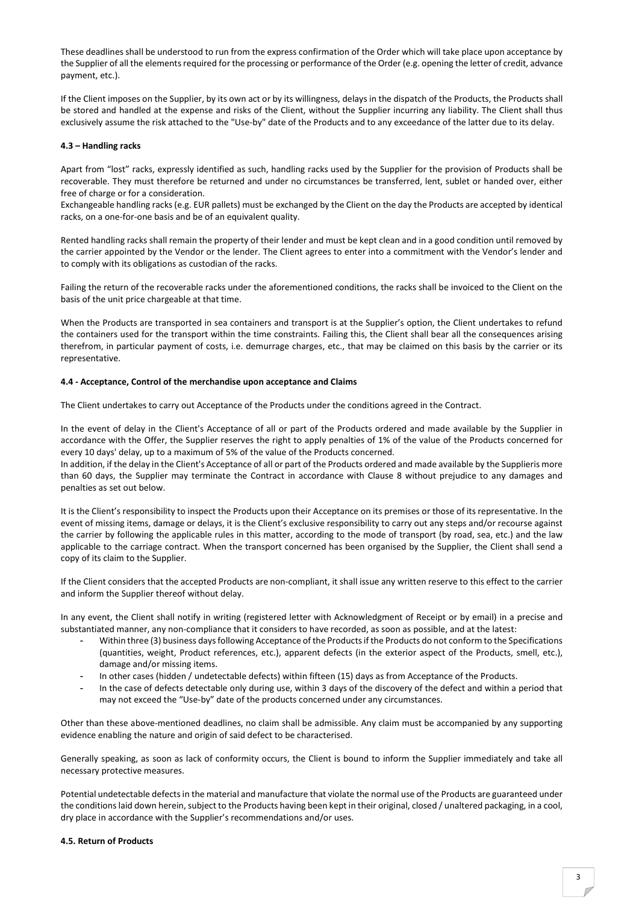These deadlines shall be understood to run from the express confirmation of the Order which will take place upon acceptance by the Supplier of all the elements required for the processing or performance of the Order (e.g. opening the letter of credit, advance payment, etc.).

If the Client imposes on the Supplier, by its own act or by its willingness, delays in the dispatch of the Products, the Products shall be stored and handled at the expense and risks of the Client, without the Supplier incurring any liability. The Client shall thus exclusively assume the risk attached to the "Use-by" date of the Products and to any exceedance of the latter due to its delay.

## 4.3 – Handling racks

Apart from "lost" racks, expressly identified as such, handling racks used by the Supplier for the provision of Products shall be recoverable. They must therefore be returned and under no circumstances be transferred, lent, sublet or handed over, either free of charge or for a consideration.

Exchangeable handling racks (e.g. EUR pallets) must be exchanged by the Client on the day the Products are accepted by identical racks, on a one-for-one basis and be of an equivalent quality.

Rented handling racks shall remain the property of their lender and must be kept clean and in a good condition until removed by the carrier appointed by the Vendor or the lender. The Client agrees to enter into a commitment with the Vendor's lender and to comply with its obligations as custodian of the racks.

Failing the return of the recoverable racks under the aforementioned conditions, the racks shall be invoiced to the Client on the basis of the unit price chargeable at that time.

When the Products are transported in sea containers and transport is at the Supplier's option, the Client undertakes to refund the containers used for the transport within the time constraints. Failing this, the Client shall bear all the consequences arising therefrom, in particular payment of costs, i.e. demurrage charges, etc., that may be claimed on this basis by the carrier or its representative.

### 4.4 - Acceptance, Control of the merchandise upon acceptance and Claims

The Client undertakes to carry out Acceptance of the Products under the conditions agreed in the Contract.

In the event of delay in the Client's Acceptance of all or part of the Products ordered and made available by the Supplier in accordance with the Offer, the Supplier reserves the right to apply penalties of 1% of the value of the Products concerned for every 10 days' delay, up to a maximum of 5% of the value of the Products concerned.

In addition, if the delay in the Client's Acceptance of all or part of the Products ordered and made available by the Supplieris more than 60 days, the Supplier may terminate the Contract in accordance with Clause 8 without prejudice to any damages and penalties as set out below.

It is the Client's responsibility to inspect the Products upon their Acceptance on its premises or those of its representative. In the event of missing items, damage or delays, it is the Client's exclusive responsibility to carry out any steps and/or recourse against the carrier by following the applicable rules in this matter, according to the mode of transport (by road, sea, etc.) and the law applicable to the carriage contract. When the transport concerned has been organised by the Supplier, the Client shall send a copy of its claim to the Supplier.

If the Client considers that the accepted Products are non-compliant, it shall issue any written reserve to this effect to the carrier and inform the Supplier thereof without delay.

In any event, the Client shall notify in writing (registered letter with Acknowledgment of Receipt or by email) in a precise and substantiated manner, any non-compliance that it considers to have recorded, as soon as possible, and at the latest:

- Within three (3) business days following Acceptance of the Products if the Products do not conform to the Specifications (quantities, weight, Product references, etc.), apparent defects (in the exterior aspect of the Products, smell, etc.), damage and/or missing items.
- In other cases (hidden / undetectable defects) within fifteen (15) days as from Acceptance of the Products.
- In the case of defects detectable only during use, within 3 days of the discovery of the defect and within a period that may not exceed the "Use-by" date of the products concerned under any circumstances.

Other than these above-mentioned deadlines, no claim shall be admissible. Any claim must be accompanied by any supporting evidence enabling the nature and origin of said defect to be characterised.

Generally speaking, as soon as lack of conformity occurs, the Client is bound to inform the Supplier immediately and take all necessary protective measures.

Potential undetectable defects in the material and manufacture that violate the normal use of the Products are guaranteed under the conditions laid down herein, subject to the Products having been kept in their original, closed / unaltered packaging, in a cool, dry place in accordance with the Supplier's recommendations and/or uses.

## 4.5. Return of Products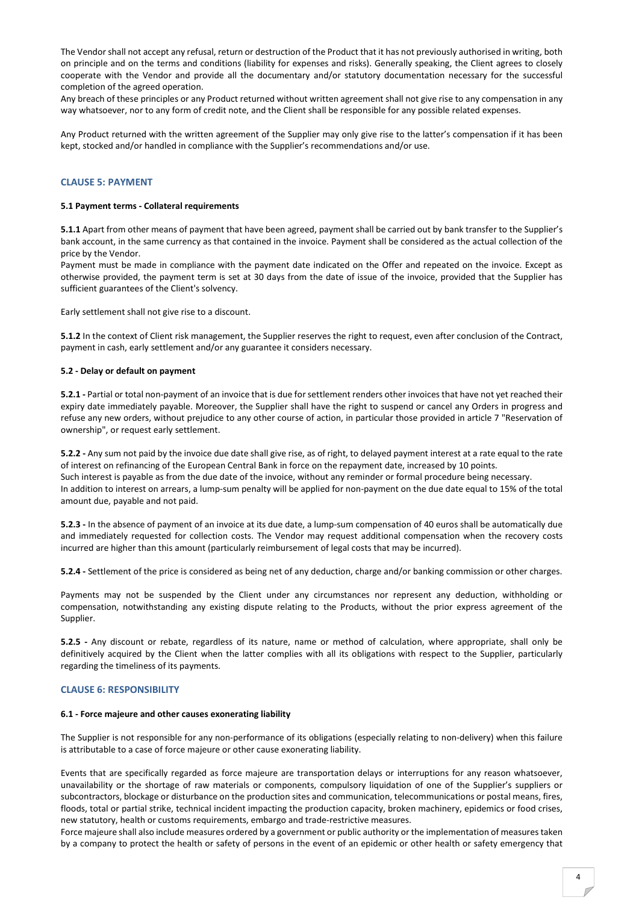The Vendor shall not accept any refusal, return or destruction of the Product that it has not previously authorised in writing, both on principle and on the terms and conditions (liability for expenses and risks). Generally speaking, the Client agrees to closely cooperate with the Vendor and provide all the documentary and/or statutory documentation necessary for the successful completion of the agreed operation.

Any breach of these principles or any Product returned without written agreement shall not give rise to any compensation in any way whatsoever, nor to any form of credit note, and the Client shall be responsible for any possible related expenses.

Any Product returned with the written agreement of the Supplier may only give rise to the latter's compensation if it has been kept, stocked and/or handled in compliance with the Supplier's recommendations and/or use.

## CLAUSE 5: PAYMENT

#### 5.1 Payment terms - Collateral requirements

5.1.1 Apart from other means of payment that have been agreed, payment shall be carried out by bank transfer to the Supplier's bank account, in the same currency as that contained in the invoice. Payment shall be considered as the actual collection of the price by the Vendor.

Payment must be made in compliance with the payment date indicated on the Offer and repeated on the invoice. Except as otherwise provided, the payment term is set at 30 days from the date of issue of the invoice, provided that the Supplier has sufficient guarantees of the Client's solvency.

Early settlement shall not give rise to a discount.

5.1.2 In the context of Client risk management, the Supplier reserves the right to request, even after conclusion of the Contract, payment in cash, early settlement and/or any guarantee it considers necessary.

## 5.2 - Delay or default on payment

5.2.1 - Partial or total non-payment of an invoice that is due for settlement renders other invoices that have not yet reached their expiry date immediately payable. Moreover, the Supplier shall have the right to suspend or cancel any Orders in progress and refuse any new orders, without prejudice to any other course of action, in particular those provided in article 7 "Reservation of ownership", or request early settlement.

5.2.2 - Any sum not paid by the invoice due date shall give rise, as of right, to delayed payment interest at a rate equal to the rate of interest on refinancing of the European Central Bank in force on the repayment date, increased by 10 points. Such interest is payable as from the due date of the invoice, without any reminder or formal procedure being necessary. In addition to interest on arrears, a lump-sum penalty will be applied for non-payment on the due date equal to 15% of the total amount due, payable and not paid.

5.2.3 - In the absence of payment of an invoice at its due date, a lump-sum compensation of 40 euros shall be automatically due and immediately requested for collection costs. The Vendor may request additional compensation when the recovery costs incurred are higher than this amount (particularly reimbursement of legal costs that may be incurred).

5.2.4 - Settlement of the price is considered as being net of any deduction, charge and/or banking commission or other charges.

Payments may not be suspended by the Client under any circumstances nor represent any deduction, withholding or compensation, notwithstanding any existing dispute relating to the Products, without the prior express agreement of the Supplier.

5.2.5 - Any discount or rebate, regardless of its nature, name or method of calculation, where appropriate, shall only be definitively acquired by the Client when the latter complies with all its obligations with respect to the Supplier, particularly regarding the timeliness of its payments.

#### CLAUSE 6: RESPONSIBILITY

#### 6.1 - Force majeure and other causes exonerating liability

The Supplier is not responsible for any non-performance of its obligations (especially relating to non-delivery) when this failure is attributable to a case of force majeure or other cause exonerating liability.

Events that are specifically regarded as force majeure are transportation delays or interruptions for any reason whatsoever, unavailability or the shortage of raw materials or components, compulsory liquidation of one of the Supplier's suppliers or subcontractors, blockage or disturbance on the production sites and communication, telecommunications or postal means, fires, floods, total or partial strike, technical incident impacting the production capacity, broken machinery, epidemics or food crises, new statutory, health or customs requirements, embargo and trade-restrictive measures.

Force majeure shall also include measures ordered by a government or public authority or the implementation of measures taken by a company to protect the health or safety of persons in the event of an epidemic or other health or safety emergency that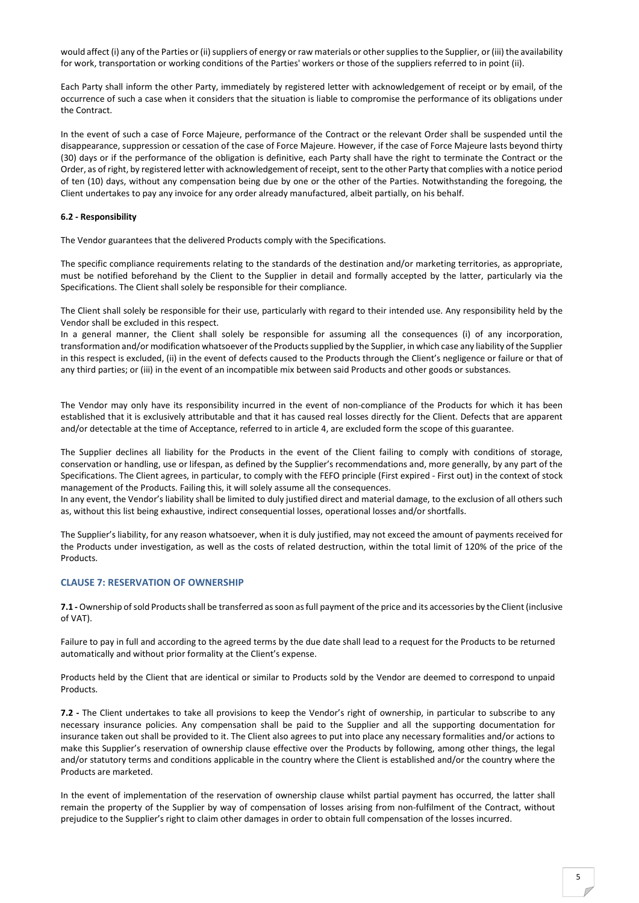would affect (i) any of the Parties or (ii) suppliers of energy or raw materials or other supplies to the Supplier, or (iii) the availability for work, transportation or working conditions of the Parties' workers or those of the suppliers referred to in point (ii).

Each Party shall inform the other Party, immediately by registered letter with acknowledgement of receipt or by email, of the occurrence of such a case when it considers that the situation is liable to compromise the performance of its obligations under the Contract.

In the event of such a case of Force Majeure, performance of the Contract or the relevant Order shall be suspended until the disappearance, suppression or cessation of the case of Force Majeure. However, if the case of Force Majeure lasts beyond thirty (30) days or if the performance of the obligation is definitive, each Party shall have the right to terminate the Contract or the Order, as of right, by registered letter with acknowledgement of receipt, sent to the other Party that complies with a notice period of ten (10) days, without any compensation being due by one or the other of the Parties. Notwithstanding the foregoing, the Client undertakes to pay any invoice for any order already manufactured, albeit partially, on his behalf.

# 6.2 - Responsibility

The Vendor guarantees that the delivered Products comply with the Specifications.

The specific compliance requirements relating to the standards of the destination and/or marketing territories, as appropriate, must be notified beforehand by the Client to the Supplier in detail and formally accepted by the latter, particularly via the Specifications. The Client shall solely be responsible for their compliance.

The Client shall solely be responsible for their use, particularly with regard to their intended use. Any responsibility held by the Vendor shall be excluded in this respect.

In a general manner, the Client shall solely be responsible for assuming all the consequences (i) of any incorporation, transformation and/or modification whatsoever of the Products supplied by the Supplier, in which case any liability of the Supplier in this respect is excluded, (ii) in the event of defects caused to the Products through the Client's negligence or failure or that of any third parties; or (iii) in the event of an incompatible mix between said Products and other goods or substances.

The Vendor may only have its responsibility incurred in the event of non-compliance of the Products for which it has been established that it is exclusively attributable and that it has caused real losses directly for the Client. Defects that are apparent and/or detectable at the time of Acceptance, referred to in article 4, are excluded form the scope of this guarantee.

The Supplier declines all liability for the Products in the event of the Client failing to comply with conditions of storage, conservation or handling, use or lifespan, as defined by the Supplier's recommendations and, more generally, by any part of the Specifications. The Client agrees, in particular, to comply with the FEFO principle (First expired - First out) in the context of stock management of the Products. Failing this, it will solely assume all the consequences.

In any event, the Vendor's liability shall be limited to duly justified direct and material damage, to the exclusion of all others such as, without this list being exhaustive, indirect consequential losses, operational losses and/or shortfalls.

The Supplier's liability, for any reason whatsoever, when it is duly justified, may not exceed the amount of payments received for the Products under investigation, as well as the costs of related destruction, within the total limit of 120% of the price of the **Products** 

# CLAUSE 7: RESERVATION OF OWNERSHIP

7.1 - Ownership of sold Products shall be transferred as soon as full payment of the price and its accessories by the Client (inclusive of VAT).

Failure to pay in full and according to the agreed terms by the due date shall lead to a request for the Products to be returned automatically and without prior formality at the Client's expense.

Products held by the Client that are identical or similar to Products sold by the Vendor are deemed to correspond to unpaid **Products** 

7.2 - The Client undertakes to take all provisions to keep the Vendor's right of ownership, in particular to subscribe to any necessary insurance policies. Any compensation shall be paid to the Supplier and all the supporting documentation for insurance taken out shall be provided to it. The Client also agrees to put into place any necessary formalities and/or actions to make this Supplier's reservation of ownership clause effective over the Products by following, among other things, the legal and/or statutory terms and conditions applicable in the country where the Client is established and/or the country where the Products are marketed.

In the event of implementation of the reservation of ownership clause whilst partial payment has occurred, the latter shall remain the property of the Supplier by way of compensation of losses arising from non-fulfilment of the Contract, without prejudice to the Supplier's right to claim other damages in order to obtain full compensation of the losses incurred.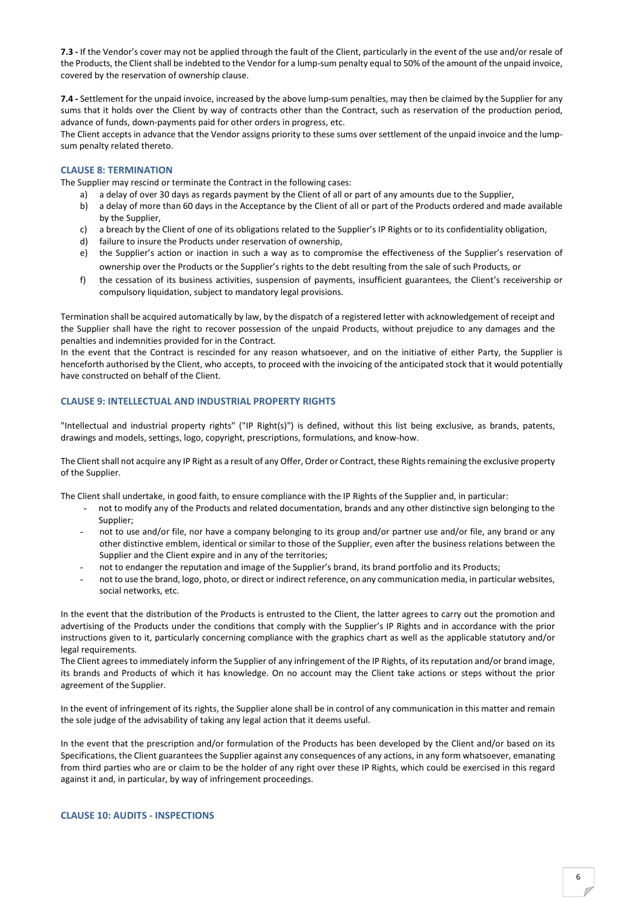7.3 - If the Vendor's cover may not be applied through the fault of the Client, particularly in the event of the use and/or resale of the Products, the Client shall be indebted to the Vendor for a lump-sum penalty equal to 50% of the amount of the unpaid invoice, covered by the reservation of ownership clause.

7.4 - Settlement for the unpaid invoice, increased by the above lump-sum penalties, may then be claimed by the Supplier for any sums that it holds over the Client by way of contracts other than the Contract, such as reservation of the production period, advance of funds, down-payments paid for other orders in progress, etc.

The Client accepts in advance that the Vendor assigns priority to these sums over settlement of the unpaid invoice and the lumpsum penalty related thereto.

## CLAUSE 8: TERMINATION

The Supplier may rescind or terminate the Contract in the following cases:

- a) a delay of over 30 days as regards payment by the Client of all or part of any amounts due to the Supplier,
- b) a delay of more than 60 days in the Acceptance by the Client of all or part of the Products ordered and made available by the Supplier,
- c) a breach by the Client of one of its obligations related to the Supplier's IP Rights or to its confidentiality obligation,
- d) failure to insure the Products under reservation of ownership,
- e) the Supplier's action or inaction in such a way as to compromise the effectiveness of the Supplier's reservation of ownership over the Products or the Supplier's rights to the debt resulting from the sale of such Products, or
- f) the cessation of its business activities, suspension of payments, insufficient guarantees, the Client's receivership or compulsory liquidation, subject to mandatory legal provisions.

Termination shall be acquired automatically by law, by the dispatch of a registered letter with acknowledgement of receipt and the Supplier shall have the right to recover possession of the unpaid Products, without prejudice to any damages and the penalties and indemnities provided for in the Contract.

In the event that the Contract is rescinded for any reason whatsoever, and on the initiative of either Party, the Supplier is henceforth authorised by the Client, who accepts, to proceed with the invoicing of the anticipated stock that it would potentially have constructed on behalf of the Client.

## CLAUSE 9: INTELLECTUAL AND INDUSTRIAL PROPERTY RIGHTS

"Intellectual and industrial property rights" ("IP Right(s)") is defined, without this list being exclusive, as brands, patents, drawings and models, settings, logo, copyright, prescriptions, formulations, and know-how.

The Client shall not acquire any IP Right as a result of any Offer, Order or Contract, these Rights remaining the exclusive property of the Supplier.

The Client shall undertake, in good faith, to ensure compliance with the IP Rights of the Supplier and, in particular:

- not to modify any of the Products and related documentation, brands and any other distinctive sign belonging to the Supplier;
- not to use and/or file, nor have a company belonging to its group and/or partner use and/or file, any brand or any other distinctive emblem, identical or similar to those of the Supplier, even after the business relations between the Supplier and the Client expire and in any of the territories;
- not to endanger the reputation and image of the Supplier's brand, its brand portfolio and its Products;
- not to use the brand, logo, photo, or direct or indirect reference, on any communication media, in particular websites, social networks, etc.

In the event that the distribution of the Products is entrusted to the Client, the latter agrees to carry out the promotion and advertising of the Products under the conditions that comply with the Supplier's IP Rights and in accordance with the prior instructions given to it, particularly concerning compliance with the graphics chart as well as the applicable statutory and/or legal requirements.

The Client agrees to immediately inform the Supplier of any infringement of the IP Rights, of its reputation and/or brand image, its brands and Products of which it has knowledge. On no account may the Client take actions or steps without the prior agreement of the Supplier.

In the event of infringement of its rights, the Supplier alone shall be in control of any communication in this matter and remain the sole judge of the advisability of taking any legal action that it deems useful.

In the event that the prescription and/or formulation of the Products has been developed by the Client and/or based on its Specifications, the Client guarantees the Supplier against any consequences of any actions, in any form whatsoever, emanating from third parties who are or claim to be the holder of any right over these IP Rights, which could be exercised in this regard against it and, in particular, by way of infringement proceedings.

#### CLAUSE 10: AUDITS - INSPECTIONS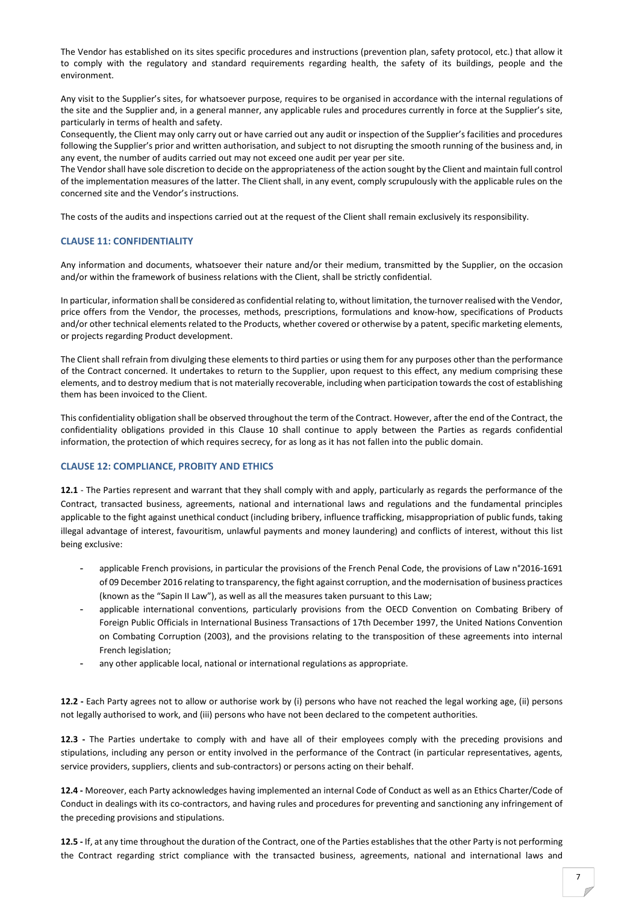The Vendor has established on its sites specific procedures and instructions (prevention plan, safety protocol, etc.) that allow it to comply with the regulatory and standard requirements regarding health, the safety of its buildings, people and the environment.

Any visit to the Supplier's sites, for whatsoever purpose, requires to be organised in accordance with the internal regulations of the site and the Supplier and, in a general manner, any applicable rules and procedures currently in force at the Supplier's site, particularly in terms of health and safety.

Consequently, the Client may only carry out or have carried out any audit or inspection of the Supplier's facilities and procedures following the Supplier's prior and written authorisation, and subject to not disrupting the smooth running of the business and, in any event, the number of audits carried out may not exceed one audit per year per site.

The Vendor shall have sole discretion to decide on the appropriateness of the action sought by the Client and maintain full control of the implementation measures of the latter. The Client shall, in any event, comply scrupulously with the applicable rules on the concerned site and the Vendor's instructions.

The costs of the audits and inspections carried out at the request of the Client shall remain exclusively its responsibility.

# CLAUSE 11: CONFIDENTIALITY

Any information and documents, whatsoever their nature and/or their medium, transmitted by the Supplier, on the occasion and/or within the framework of business relations with the Client, shall be strictly confidential.

In particular, information shall be considered as confidential relating to, without limitation, the turnover realised with the Vendor, price offers from the Vendor, the processes, methods, prescriptions, formulations and know-how, specifications of Products and/or other technical elements related to the Products, whether covered or otherwise by a patent, specific marketing elements, or projects regarding Product development.

The Client shall refrain from divulging these elements to third parties or using them for any purposes other than the performance of the Contract concerned. It undertakes to return to the Supplier, upon request to this effect, any medium comprising these elements, and to destroy medium that is not materially recoverable, including when participation towards the cost of establishing them has been invoiced to the Client.

This confidentiality obligation shall be observed throughout the term of the Contract. However, after the end of the Contract, the confidentiality obligations provided in this Clause 10 shall continue to apply between the Parties as regards confidential information, the protection of which requires secrecy, for as long as it has not fallen into the public domain.

## CLAUSE 12: COMPLIANCE, PROBITY AND ETHICS

12.1 - The Parties represent and warrant that they shall comply with and apply, particularly as regards the performance of the Contract, transacted business, agreements, national and international laws and regulations and the fundamental principles applicable to the fight against unethical conduct (including bribery, influence trafficking, misappropriation of public funds, taking illegal advantage of interest, favouritism, unlawful payments and money laundering) and conflicts of interest, without this list being exclusive:

- applicable French provisions, in particular the provisions of the French Penal Code, the provisions of Law n°2016-1691 of 09 December 2016 relating to transparency, the fight against corruption, and the modernisation of business practices (known as the "Sapin II Law"), as well as all the measures taken pursuant to this Law;
- applicable international conventions, particularly provisions from the OECD Convention on Combating Bribery of Foreign Public Officials in International Business Transactions of 17th December 1997, the United Nations Convention on Combating Corruption (2003), and the provisions relating to the transposition of these agreements into internal French legislation;
- any other applicable local, national or international regulations as appropriate.

12.2 - Each Party agrees not to allow or authorise work by (i) persons who have not reached the legal working age, (ii) persons not legally authorised to work, and (iii) persons who have not been declared to the competent authorities.

12.3 - The Parties undertake to comply with and have all of their employees comply with the preceding provisions and stipulations, including any person or entity involved in the performance of the Contract (in particular representatives, agents, service providers, suppliers, clients and sub-contractors) or persons acting on their behalf.

12.4 - Moreover, each Party acknowledges having implemented an internal Code of Conduct as well as an Ethics Charter/Code of Conduct in dealings with its co-contractors, and having rules and procedures for preventing and sanctioning any infringement of the preceding provisions and stipulations.

12.5 - If, at any time throughout the duration of the Contract, one of the Parties establishes that the other Party is not performing the Contract regarding strict compliance with the transacted business, agreements, national and international laws and